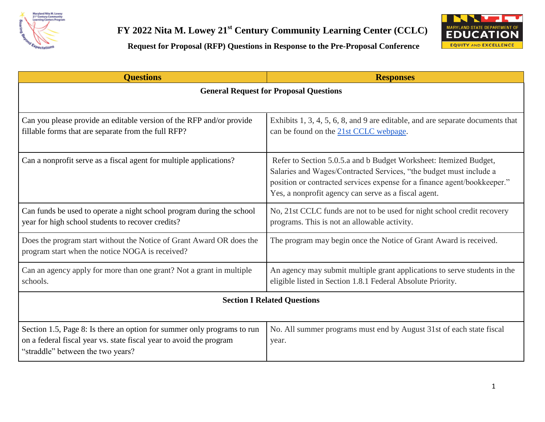



**Request for Proposal (RFP) Questions in Response to the Pre-Proposal Conference**

| <b>Ouestions</b>                                                                                                                                                                    | <b>Responses</b>                                                                                                                                                                                                                                                            |  |
|-------------------------------------------------------------------------------------------------------------------------------------------------------------------------------------|-----------------------------------------------------------------------------------------------------------------------------------------------------------------------------------------------------------------------------------------------------------------------------|--|
| <b>General Request for Proposal Questions</b>                                                                                                                                       |                                                                                                                                                                                                                                                                             |  |
| Can you please provide an editable version of the RFP and/or provide<br>fillable forms that are separate from the full RFP?                                                         | Exhibits 1, 3, 4, 5, 6, 8, and 9 are editable, and are separate documents that<br>can be found on the 21st CCLC webpage.                                                                                                                                                    |  |
| Can a nonprofit serve as a fiscal agent for multiple applications?                                                                                                                  | Refer to Section 5.0.5.a and b Budget Worksheet: Itemized Budget,<br>Salaries and Wages/Contracted Services, "the budget must include a<br>position or contracted services expense for a finance agent/bookkeeper."<br>Yes, a nonprofit agency can serve as a fiscal agent. |  |
| Can funds be used to operate a night school program during the school<br>year for high school students to recover credits?                                                          | No, 21st CCLC funds are not to be used for night school credit recovery<br>programs. This is not an allowable activity.                                                                                                                                                     |  |
| Does the program start without the Notice of Grant Award OR does the<br>program start when the notice NOGA is received?                                                             | The program may begin once the Notice of Grant Award is received.                                                                                                                                                                                                           |  |
| Can an agency apply for more than one grant? Not a grant in multiple<br>schools.                                                                                                    | An agency may submit multiple grant applications to serve students in the<br>eligible listed in Section 1.8.1 Federal Absolute Priority.                                                                                                                                    |  |
| <b>Section I Related Questions</b>                                                                                                                                                  |                                                                                                                                                                                                                                                                             |  |
| Section 1.5, Page 8: Is there an option for summer only programs to run<br>on a federal fiscal year vs. state fiscal year to avoid the program<br>"straddle" between the two years? | No. All summer programs must end by August 31st of each state fiscal<br>year.                                                                                                                                                                                               |  |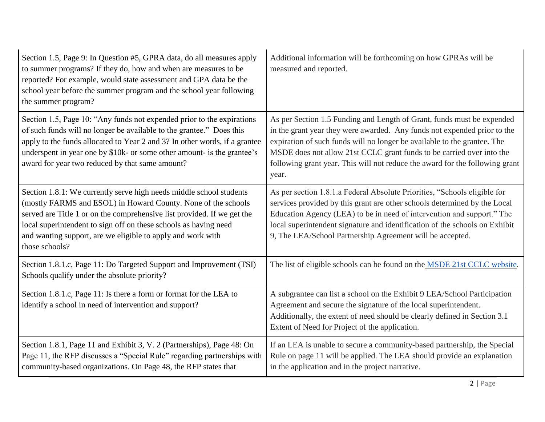| Section 1.5, Page 9: In Question #5, GPRA data, do all measures apply<br>to summer programs? If they do, how and when are measures to be<br>reported? For example, would state assessment and GPA data be the<br>school year before the summer program and the school year following<br>the summer program?                                                          | Additional information will be forthcoming on how GPRAs will be<br>measured and reported.                                                                                                                                                                                                                                                                                                        |
|----------------------------------------------------------------------------------------------------------------------------------------------------------------------------------------------------------------------------------------------------------------------------------------------------------------------------------------------------------------------|--------------------------------------------------------------------------------------------------------------------------------------------------------------------------------------------------------------------------------------------------------------------------------------------------------------------------------------------------------------------------------------------------|
| Section 1.5, Page 10: "Any funds not expended prior to the expirations<br>of such funds will no longer be available to the grantee." Does this<br>apply to the funds allocated to Year 2 and 3? In other words, if a grantee<br>underspent in year one by \$10k- or some other amount- is the grantee's<br>award for year two reduced by that same amount?           | As per Section 1.5 Funding and Length of Grant, funds must be expended<br>in the grant year they were awarded. Any funds not expended prior to the<br>expiration of such funds will no longer be available to the grantee. The<br>MSDE does not allow 21st CCLC grant funds to be carried over into the<br>following grant year. This will not reduce the award for the following grant<br>year. |
| Section 1.8.1: We currently serve high needs middle school students<br>(mostly FARMS and ESOL) in Howard County. None of the schools<br>served are Title 1 or on the comprehensive list provided. If we get the<br>local superintendent to sign off on these schools as having need<br>and wanting support, are we eligible to apply and work with<br>those schools? | As per section 1.8.1.a Federal Absolute Priorities, "Schools eligible for<br>services provided by this grant are other schools determined by the Local<br>Education Agency (LEA) to be in need of intervention and support." The<br>local superintendent signature and identification of the schools on Exhibit<br>9, The LEA/School Partnership Agreement will be accepted.                     |
| Section 1.8.1.c, Page 11: Do Targeted Support and Improvement (TSI)<br>Schools qualify under the absolute priority?                                                                                                                                                                                                                                                  | The list of eligible schools can be found on the <b>MSDE</b> 21st CCLC website.                                                                                                                                                                                                                                                                                                                  |
| Section 1.8.1.c, Page 11: Is there a form or format for the LEA to<br>identify a school in need of intervention and support?                                                                                                                                                                                                                                         | A subgrantee can list a school on the Exhibit 9 LEA/School Participation<br>Agreement and secure the signature of the local superintendent.<br>Additionally, the extent of need should be clearly defined in Section 3.1<br>Extent of Need for Project of the application.                                                                                                                       |
| Section 1.8.1, Page 11 and Exhibit 3, V. 2 (Partnerships), Page 48: On<br>Page 11, the RFP discusses a "Special Rule" regarding partnerships with<br>community-based organizations. On Page 48, the RFP states that                                                                                                                                                  | If an LEA is unable to secure a community-based partnership, the Special<br>Rule on page 11 will be applied. The LEA should provide an explanation<br>in the application and in the project narrative.                                                                                                                                                                                           |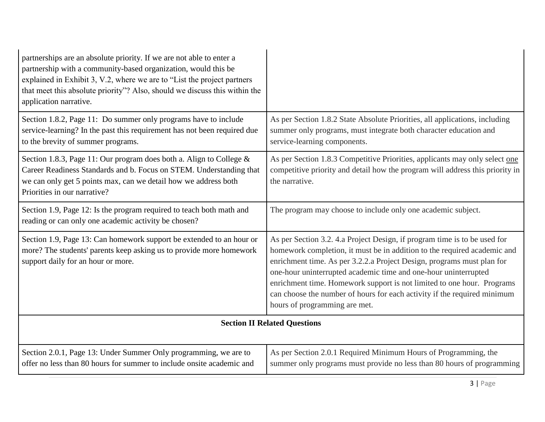| partnerships are an absolute priority. If we are not able to enter a<br>partnership with a community-based organization, would this be<br>explained in Exhibit 3, V.2, where we are to "List the project partners"<br>that meet this absolute priority"? Also, should we discuss this within the<br>application narrative. |                                                                                                                                                                                                                                                                                                                                                                                                                                                                                           |
|----------------------------------------------------------------------------------------------------------------------------------------------------------------------------------------------------------------------------------------------------------------------------------------------------------------------------|-------------------------------------------------------------------------------------------------------------------------------------------------------------------------------------------------------------------------------------------------------------------------------------------------------------------------------------------------------------------------------------------------------------------------------------------------------------------------------------------|
| Section 1.8.2, Page 11: Do summer only programs have to include<br>service-learning? In the past this requirement has not been required due<br>to the brevity of summer programs.                                                                                                                                          | As per Section 1.8.2 State Absolute Priorities, all applications, including<br>summer only programs, must integrate both character education and<br>service-learning components.                                                                                                                                                                                                                                                                                                          |
| Section 1.8.3, Page 11: Our program does both a. Align to College $\&$<br>Career Readiness Standards and b. Focus on STEM. Understanding that<br>we can only get 5 points max, can we detail how we address both<br>Priorities in our narrative?                                                                           | As per Section 1.8.3 Competitive Priorities, applicants may only select one<br>competitive priority and detail how the program will address this priority in<br>the narrative.                                                                                                                                                                                                                                                                                                            |
| Section 1.9, Page 12: Is the program required to teach both math and<br>reading or can only one academic activity be chosen?                                                                                                                                                                                               | The program may choose to include only one academic subject.                                                                                                                                                                                                                                                                                                                                                                                                                              |
| Section 1.9, Page 13: Can homework support be extended to an hour or<br>more? The students' parents keep asking us to provide more homework<br>support daily for an hour or more.                                                                                                                                          | As per Section 3.2. 4.a Project Design, if program time is to be used for<br>homework completion, it must be in addition to the required academic and<br>enrichment time. As per 3.2.2.a Project Design, programs must plan for<br>one-hour uninterrupted academic time and one-hour uninterrupted<br>enrichment time. Homework support is not limited to one hour. Programs<br>can choose the number of hours for each activity if the required minimum<br>hours of programming are met. |
| <b>Section II Related Questions</b>                                                                                                                                                                                                                                                                                        |                                                                                                                                                                                                                                                                                                                                                                                                                                                                                           |
| Section 2.0.1, Page 13: Under Summer Only programming, we are to<br>offer no less than 80 hours for summer to include onsite academic and                                                                                                                                                                                  | As per Section 2.0.1 Required Minimum Hours of Programming, the<br>summer only programs must provide no less than 80 hours of programming                                                                                                                                                                                                                                                                                                                                                 |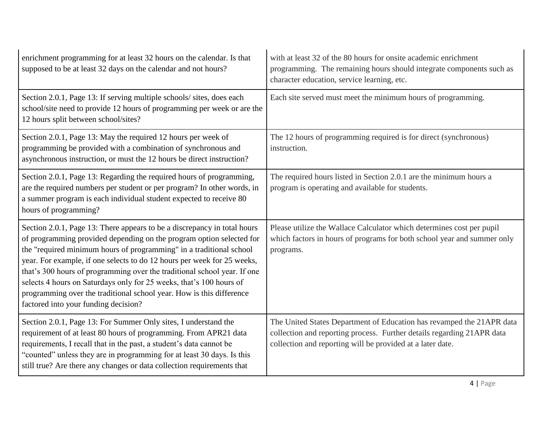| enrichment programming for at least 32 hours on the calendar. Is that<br>supposed to be at least 32 days on the calendar and not hours?                                                                                                                                                                                                                                                                                                                                                                                                                               | with at least 32 of the 80 hours for onsite academic enrichment<br>programming. The remaining hours should integrate components such as<br>character education, service learning, etc.                        |
|-----------------------------------------------------------------------------------------------------------------------------------------------------------------------------------------------------------------------------------------------------------------------------------------------------------------------------------------------------------------------------------------------------------------------------------------------------------------------------------------------------------------------------------------------------------------------|---------------------------------------------------------------------------------------------------------------------------------------------------------------------------------------------------------------|
| Section 2.0.1, Page 13: If serving multiple schools/ sites, does each<br>school/site need to provide 12 hours of programming per week or are the<br>12 hours split between school/sites?                                                                                                                                                                                                                                                                                                                                                                              | Each site served must meet the minimum hours of programming.                                                                                                                                                  |
| Section 2.0.1, Page 13: May the required 12 hours per week of<br>programming be provided with a combination of synchronous and<br>asynchronous instruction, or must the 12 hours be direct instruction?                                                                                                                                                                                                                                                                                                                                                               | The 12 hours of programming required is for direct (synchronous)<br>instruction.                                                                                                                              |
| Section 2.0.1, Page 13: Regarding the required hours of programming,<br>are the required numbers per student or per program? In other words, in<br>a summer program is each individual student expected to receive 80<br>hours of programming?                                                                                                                                                                                                                                                                                                                        | The required hours listed in Section 2.0.1 are the minimum hours a<br>program is operating and available for students.                                                                                        |
| Section 2.0.1, Page 13: There appears to be a discrepancy in total hours<br>of programming provided depending on the program option selected for<br>the "required minimum hours of programming" in a traditional school<br>year. For example, if one selects to do 12 hours per week for 25 weeks,<br>that's 300 hours of programming over the traditional school year. If one<br>selects 4 hours on Saturdays only for 25 weeks, that's 100 hours of<br>programming over the traditional school year. How is this difference<br>factored into your funding decision? | Please utilize the Wallace Calculator which determines cost per pupil<br>which factors in hours of programs for both school year and summer only<br>programs.                                                 |
| Section 2.0.1, Page 13: For Summer Only sites, I understand the<br>requirement of at least 80 hours of programming. From APR21 data<br>requirements, I recall that in the past, a student's data cannot be<br>"counted" unless they are in programming for at least 30 days. Is this<br>still true? Are there any changes or data collection requirements that                                                                                                                                                                                                        | The United States Department of Education has revamped the 21APR data<br>collection and reporting process. Further details regarding 21APR data<br>collection and reporting will be provided at a later date. |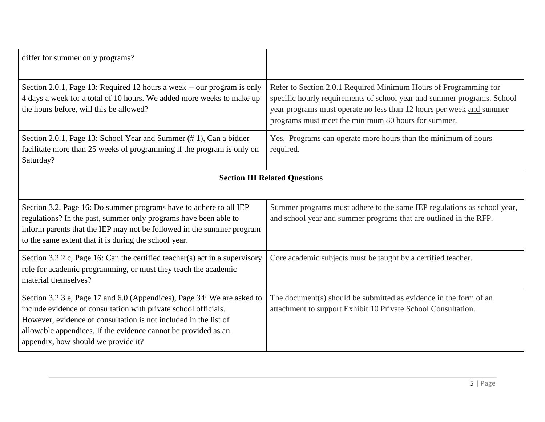| differ for summer only programs?                                                                                                                                                                                                                                                                                        |                                                                                                                                                                                                                                                                            |  |
|-------------------------------------------------------------------------------------------------------------------------------------------------------------------------------------------------------------------------------------------------------------------------------------------------------------------------|----------------------------------------------------------------------------------------------------------------------------------------------------------------------------------------------------------------------------------------------------------------------------|--|
| Section 2.0.1, Page 13: Required 12 hours a week -- our program is only<br>4 days a week for a total of 10 hours. We added more weeks to make up<br>the hours before, will this be allowed?                                                                                                                             | Refer to Section 2.0.1 Required Minimum Hours of Programming for<br>specific hourly requirements of school year and summer programs. School<br>year programs must operate no less than 12 hours per week and summer<br>programs must meet the minimum 80 hours for summer. |  |
| Section 2.0.1, Page 13: School Year and Summer (#1), Can a bidder<br>facilitate more than 25 weeks of programming if the program is only on<br>Saturday?                                                                                                                                                                | Yes. Programs can operate more hours than the minimum of hours<br>required.                                                                                                                                                                                                |  |
| <b>Section III Related Questions</b>                                                                                                                                                                                                                                                                                    |                                                                                                                                                                                                                                                                            |  |
| Section 3.2, Page 16: Do summer programs have to adhere to all IEP<br>regulations? In the past, summer only programs have been able to<br>inform parents that the IEP may not be followed in the summer program<br>to the same extent that it is during the school year.                                                | Summer programs must adhere to the same IEP regulations as school year,<br>and school year and summer programs that are outlined in the RFP.                                                                                                                               |  |
| Section 3.2.2.c, Page 16: Can the certified teacher(s) act in a supervisory<br>role for academic programming, or must they teach the academic<br>material themselves?                                                                                                                                                   | Core academic subjects must be taught by a certified teacher.                                                                                                                                                                                                              |  |
| Section 3.2.3.e, Page 17 and 6.0 (Appendices), Page 34: We are asked to<br>include evidence of consultation with private school officials.<br>However, evidence of consultation is not included in the list of<br>allowable appendices. If the evidence cannot be provided as an<br>appendix, how should we provide it? | The document(s) should be submitted as evidence in the form of an<br>attachment to support Exhibit 10 Private School Consultation.                                                                                                                                         |  |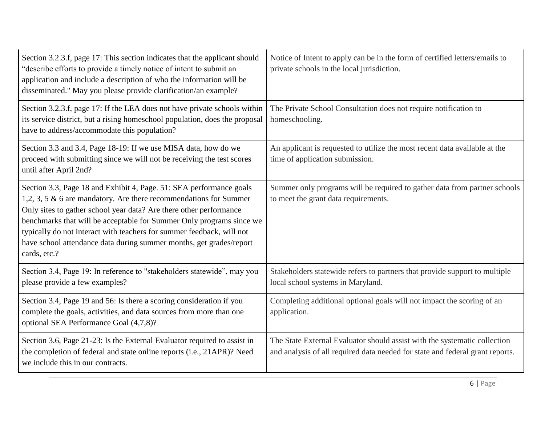| Section 3.2.3.f, page 17: This section indicates that the applicant should<br>"describe efforts to provide a timely notice of intent to submit an<br>application and include a description of who the information will be<br>disseminated." May you please provide clarification/an example?                                                                                                                                                              | Notice of Intent to apply can be in the form of certified letters/emails to<br>private schools in the local jurisdiction.                                  |
|-----------------------------------------------------------------------------------------------------------------------------------------------------------------------------------------------------------------------------------------------------------------------------------------------------------------------------------------------------------------------------------------------------------------------------------------------------------|------------------------------------------------------------------------------------------------------------------------------------------------------------|
| Section 3.2.3.f, page 17: If the LEA does not have private schools within<br>its service district, but a rising homeschool population, does the proposal<br>have to address/accommodate this population?                                                                                                                                                                                                                                                  | The Private School Consultation does not require notification to<br>homeschooling.                                                                         |
| Section 3.3 and 3.4, Page 18-19: If we use MISA data, how do we<br>proceed with submitting since we will not be receiving the test scores<br>until after April 2nd?                                                                                                                                                                                                                                                                                       | An applicant is requested to utilize the most recent data available at the<br>time of application submission.                                              |
| Section 3.3, Page 18 and Exhibit 4, Page. 51: SEA performance goals<br>1,2, 3, 5 $\&$ 6 are mandatory. Are there recommendations for Summer<br>Only sites to gather school year data? Are there other performance<br>benchmarks that will be acceptable for Summer Only programs since we<br>typically do not interact with teachers for summer feedback, will not<br>have school attendance data during summer months, get grades/report<br>cards, etc.? | Summer only programs will be required to gather data from partner schools<br>to meet the grant data requirements.                                          |
| Section 3.4, Page 19: In reference to "stakeholders statewide", may you<br>please provide a few examples?                                                                                                                                                                                                                                                                                                                                                 | Stakeholders statewide refers to partners that provide support to multiple<br>local school systems in Maryland.                                            |
| Section 3.4, Page 19 and 56: Is there a scoring consideration if you<br>complete the goals, activities, and data sources from more than one<br>optional SEA Performance Goal (4,7,8)?                                                                                                                                                                                                                                                                     | Completing additional optional goals will not impact the scoring of an<br>application.                                                                     |
| Section 3.6, Page 21-23: Is the External Evaluator required to assist in<br>the completion of federal and state online reports (i.e., 21APR)? Need<br>we include this in our contracts.                                                                                                                                                                                                                                                                   | The State External Evaluator should assist with the systematic collection<br>and analysis of all required data needed for state and federal grant reports. |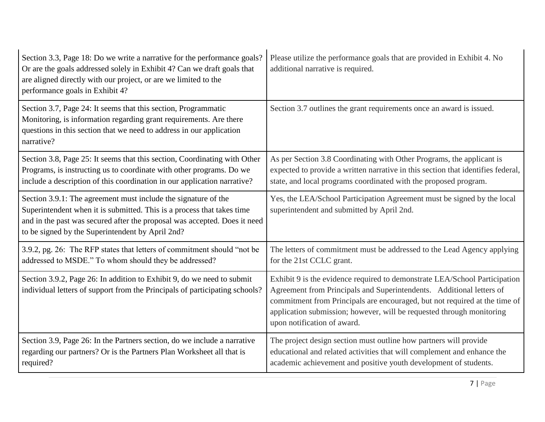| Section 3.3, Page 18: Do we write a narrative for the performance goals?<br>Or are the goals addressed solely in Exhibit 4? Can we draft goals that<br>are aligned directly with our project, or are we limited to the<br>performance goals in Exhibit 4?                 | Please utilize the performance goals that are provided in Exhibit 4. No<br>additional narrative is required.                                                                                                                                                                                                                             |
|---------------------------------------------------------------------------------------------------------------------------------------------------------------------------------------------------------------------------------------------------------------------------|------------------------------------------------------------------------------------------------------------------------------------------------------------------------------------------------------------------------------------------------------------------------------------------------------------------------------------------|
| Section 3.7, Page 24: It seems that this section, Programmatic<br>Monitoring, is information regarding grant requirements. Are there<br>questions in this section that we need to address in our application<br>narrative?                                                | Section 3.7 outlines the grant requirements once an award is issued.                                                                                                                                                                                                                                                                     |
| Section 3.8, Page 25: It seems that this section, Coordinating with Other<br>Programs, is instructing us to coordinate with other programs. Do we<br>include a description of this coordination in our application narrative?                                             | As per Section 3.8 Coordinating with Other Programs, the applicant is<br>expected to provide a written narrative in this section that identifies federal,<br>state, and local programs coordinated with the proposed program.                                                                                                            |
| Section 3.9.1: The agreement must include the signature of the<br>Superintendent when it is submitted. This is a process that takes time<br>and in the past was secured after the proposal was accepted. Does it need<br>to be signed by the Superintendent by April 2nd? | Yes, the LEA/School Participation Agreement must be signed by the local<br>superintendent and submitted by April 2nd.                                                                                                                                                                                                                    |
| 3.9.2, pg. 26: The RFP states that letters of commitment should "not be<br>addressed to MSDE." To whom should they be addressed?                                                                                                                                          | The letters of commitment must be addressed to the Lead Agency applying<br>for the 21st CCLC grant.                                                                                                                                                                                                                                      |
| Section 3.9.2, Page 26: In addition to Exhibit 9, do we need to submit<br>individual letters of support from the Principals of participating schools?                                                                                                                     | Exhibit 9 is the evidence required to demonstrate LEA/School Participation<br>Agreement from Principals and Superintendents. Additional letters of<br>commitment from Principals are encouraged, but not required at the time of<br>application submission; however, will be requested through monitoring<br>upon notification of award. |
| Section 3.9, Page 26: In the Partners section, do we include a narrative<br>regarding our partners? Or is the Partners Plan Worksheet all that is<br>required?                                                                                                            | The project design section must outline how partners will provide<br>educational and related activities that will complement and enhance the<br>academic achievement and positive youth development of students.                                                                                                                         |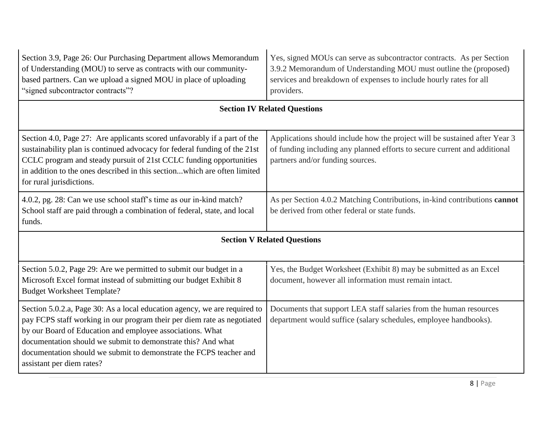| Section 3.9, Page 26: Our Purchasing Department allows Memorandum<br>of Understanding (MOU) to serve as contracts with our community-<br>based partners. Can we upload a signed MOU in place of uploading<br>"signed subcontractor contracts"?                                                                                                                                       | Yes, signed MOUs can serve as subcontractor contracts. As per Section<br>3.9.2 Memorandum of Understanding MOU must outline the (proposed)<br>services and breakdown of expenses to include hourly rates for all<br>providers. |  |
|--------------------------------------------------------------------------------------------------------------------------------------------------------------------------------------------------------------------------------------------------------------------------------------------------------------------------------------------------------------------------------------|--------------------------------------------------------------------------------------------------------------------------------------------------------------------------------------------------------------------------------|--|
| <b>Section IV Related Questions</b>                                                                                                                                                                                                                                                                                                                                                  |                                                                                                                                                                                                                                |  |
| Section 4.0, Page 27: Are applicants scored unfavorably if a part of the<br>sustainability plan is continued advocacy for federal funding of the 21st<br>CCLC program and steady pursuit of 21st CCLC funding opportunities<br>in addition to the ones described in this sectionwhich are often limited<br>for rural jurisdictions.                                                  | Applications should include how the project will be sustained after Year 3<br>of funding including any planned efforts to secure current and additional<br>partners and/or funding sources.                                    |  |
| 4.0.2, pg. 28: Can we use school staff's time as our in-kind match?<br>School staff are paid through a combination of federal, state, and local<br>funds.                                                                                                                                                                                                                            | As per Section 4.0.2 Matching Contributions, in-kind contributions cannot<br>be derived from other federal or state funds.                                                                                                     |  |
| <b>Section V Related Questions</b>                                                                                                                                                                                                                                                                                                                                                   |                                                                                                                                                                                                                                |  |
| Section 5.0.2, Page 29: Are we permitted to submit our budget in a<br>Microsoft Excel format instead of submitting our budget Exhibit 8<br><b>Budget Worksheet Template?</b>                                                                                                                                                                                                         | Yes, the Budget Worksheet (Exhibit 8) may be submitted as an Excel<br>document, however all information must remain intact.                                                                                                    |  |
| Section 5.0.2.a, Page 30: As a local education agency, we are required to<br>pay FCPS staff working in our program their per diem rate as negotiated<br>by our Board of Education and employee associations. What<br>documentation should we submit to demonstrate this? And what<br>documentation should we submit to demonstrate the FCPS teacher and<br>assistant per diem rates? | Documents that support LEA staff salaries from the human resources<br>department would suffice (salary schedules, employee handbooks).                                                                                         |  |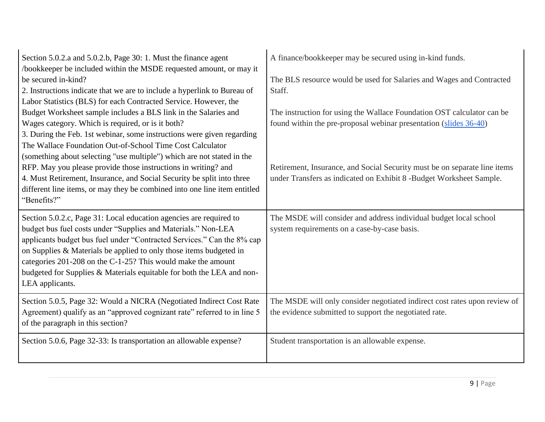| Section 5.0.2.a and 5.0.2.b, Page 30: 1. Must the finance agent<br>/bookkeeper be included within the MSDE requested amount, or may it<br>be secured in-kind?<br>2. Instructions indicate that we are to include a hyperlink to Bureau of<br>Labor Statistics (BLS) for each Contracted Service. However, the                                                                                                                                   | A finance/bookkeeper may be secured using in-kind funds.<br>The BLS resource would be used for Salaries and Wages and Contracted<br>Staff.       |
|-------------------------------------------------------------------------------------------------------------------------------------------------------------------------------------------------------------------------------------------------------------------------------------------------------------------------------------------------------------------------------------------------------------------------------------------------|--------------------------------------------------------------------------------------------------------------------------------------------------|
| Budget Worksheet sample includes a BLS link in the Salaries and<br>Wages category. Which is required, or is it both?<br>3. During the Feb. 1st webinar, some instructions were given regarding<br>The Wallace Foundation Out-of-School Time Cost Calculator<br>(something about selecting "use multiple") which are not stated in the                                                                                                           | The instruction for using the Wallace Foundation OST calculator can be<br>found within the pre-proposal webinar presentation (slides 36-40)      |
| RFP. May you please provide those instructions in writing? and<br>4. Must Retirement, Insurance, and Social Security be split into three<br>different line items, or may they be combined into one line item entitled<br>"Benefits?"                                                                                                                                                                                                            | Retirement, Insurance, and Social Security must be on separate line items<br>under Transfers as indicated on Exhibit 8 -Budget Worksheet Sample. |
| Section 5.0.2.c, Page 31: Local education agencies are required to<br>budget bus fuel costs under "Supplies and Materials." Non-LEA<br>applicants budget bus fuel under "Contracted Services." Can the 8% cap<br>on Supplies & Materials be applied to only those items budgeted in<br>categories 201-208 on the C-1-25? This would make the amount<br>budgeted for Supplies & Materials equitable for both the LEA and non-<br>LEA applicants. | The MSDE will consider and address individual budget local school<br>system requirements on a case-by-case basis.                                |
| Section 5.0.5, Page 32: Would a NICRA (Negotiated Indirect Cost Rate<br>Agreement) qualify as an "approved cognizant rate" referred to in line 5<br>of the paragraph in this section?                                                                                                                                                                                                                                                           | The MSDE will only consider negotiated indirect cost rates upon review of<br>the evidence submitted to support the negotiated rate.              |
| Section 5.0.6, Page 32-33: Is transportation an allowable expense?                                                                                                                                                                                                                                                                                                                                                                              | Student transportation is an allowable expense.                                                                                                  |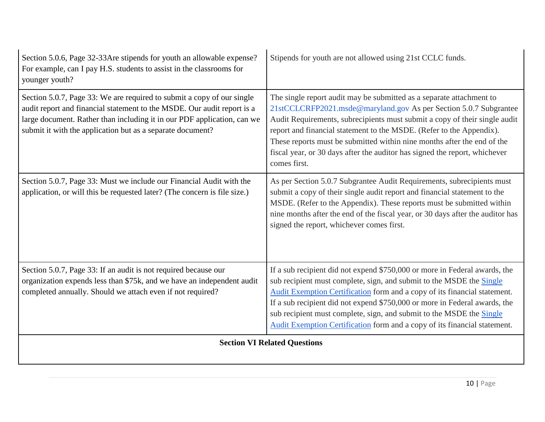| Section 5.0.6, Page 32-33Are stipends for youth an allowable expense?<br>For example, can I pay H.S. students to assist in the classrooms for<br>younger youth?                                                                                                                            | Stipends for youth are not allowed using 21st CCLC funds.                                                                                                                                                                                                                                                                                                                                                                                                                |
|--------------------------------------------------------------------------------------------------------------------------------------------------------------------------------------------------------------------------------------------------------------------------------------------|--------------------------------------------------------------------------------------------------------------------------------------------------------------------------------------------------------------------------------------------------------------------------------------------------------------------------------------------------------------------------------------------------------------------------------------------------------------------------|
| Section 5.0.7, Page 33: We are required to submit a copy of our single<br>audit report and financial statement to the MSDE. Our audit report is a<br>large document. Rather than including it in our PDF application, can we<br>submit it with the application but as a separate document? | The single report audit may be submitted as a separate attachment to<br>21stCCLCRFP2021.msde@maryland.gov As per Section 5.0.7 Subgrantee<br>Audit Requirements, subrecipients must submit a copy of their single audit<br>report and financial statement to the MSDE. (Refer to the Appendix).<br>These reports must be submitted within nine months after the end of the<br>fiscal year, or 30 days after the auditor has signed the report, whichever<br>comes first. |
| Section 5.0.7, Page 33: Must we include our Financial Audit with the<br>application, or will this be requested later? (The concern is file size.)                                                                                                                                          | As per Section 5.0.7 Subgrantee Audit Requirements, subrecipients must<br>submit a copy of their single audit report and financial statement to the<br>MSDE. (Refer to the Appendix). These reports must be submitted within<br>nine months after the end of the fiscal year, or 30 days after the auditor has<br>signed the report, whichever comes first.                                                                                                              |
| Section 5.0.7, Page 33: If an audit is not required because our<br>organization expends less than \$75k, and we have an independent audit<br>completed annually. Should we attach even if not required?                                                                                    | If a sub recipient did not expend \$750,000 or more in Federal awards, the<br>sub recipient must complete, sign, and submit to the MSDE the Single<br>Audit Exemption Certification form and a copy of its financial statement.<br>If a sub recipient did not expend \$750,000 or more in Federal awards, the<br>sub recipient must complete, sign, and submit to the MSDE the Single<br>Audit Exemption Certification form and a copy of its financial statement.       |
|                                                                                                                                                                                                                                                                                            | <b>Section VI Related Questions</b>                                                                                                                                                                                                                                                                                                                                                                                                                                      |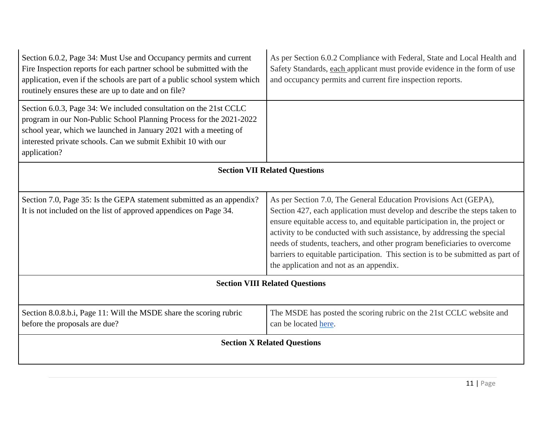| Section 6.0.2, Page 34: Must Use and Occupancy permits and current<br>Fire Inspection reports for each partner school be submitted with the<br>application, even if the schools are part of a public school system which<br>routinely ensures these are up to date and on file?               | As per Section 6.0.2 Compliance with Federal, State and Local Health and<br>Safety Standards, each applicant must provide evidence in the form of use<br>and occupancy permits and current fire inspection reports.                                                                                                                                                                                                                                                                                                |  |
|-----------------------------------------------------------------------------------------------------------------------------------------------------------------------------------------------------------------------------------------------------------------------------------------------|--------------------------------------------------------------------------------------------------------------------------------------------------------------------------------------------------------------------------------------------------------------------------------------------------------------------------------------------------------------------------------------------------------------------------------------------------------------------------------------------------------------------|--|
| Section 6.0.3, Page 34: We included consultation on the 21st CCLC<br>program in our Non-Public School Planning Process for the 2021-2022<br>school year, which we launched in January 2021 with a meeting of<br>interested private schools. Can we submit Exhibit 10 with our<br>application? |                                                                                                                                                                                                                                                                                                                                                                                                                                                                                                                    |  |
| <b>Section VII Related Questions</b>                                                                                                                                                                                                                                                          |                                                                                                                                                                                                                                                                                                                                                                                                                                                                                                                    |  |
| Section 7.0, Page 35: Is the GEPA statement submitted as an appendix?<br>It is not included on the list of approved appendices on Page 34.                                                                                                                                                    | As per Section 7.0, The General Education Provisions Act (GEPA),<br>Section 427, each application must develop and describe the steps taken to<br>ensure equitable access to, and equitable participation in, the project or<br>activity to be conducted with such assistance, by addressing the special<br>needs of students, teachers, and other program beneficiaries to overcome<br>barriers to equitable participation. This section is to be submitted as part of<br>the application and not as an appendix. |  |
| <b>Section VIII Related Questions</b>                                                                                                                                                                                                                                                         |                                                                                                                                                                                                                                                                                                                                                                                                                                                                                                                    |  |
| Section 8.0.8.b.i, Page 11: Will the MSDE share the scoring rubric<br>before the proposals are due?                                                                                                                                                                                           | The MSDE has posted the scoring rubric on the 21st CCLC website and<br>can be located here.                                                                                                                                                                                                                                                                                                                                                                                                                        |  |
| <b>Section X Related Questions</b>                                                                                                                                                                                                                                                            |                                                                                                                                                                                                                                                                                                                                                                                                                                                                                                                    |  |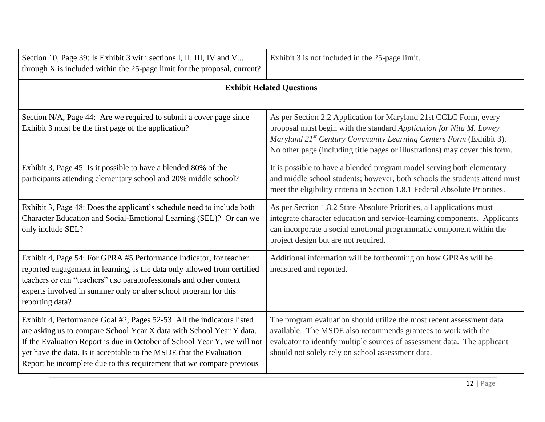| Section 10, Page 39: Is Exhibit 3 with sections I, II, III, IV and V<br>through X is included within the 25-page limit for the proposal, current?                                                                                                                                                                                                                          | Exhibit 3 is not included in the 25-page limit.                                                                                                                                                                                                                                                           |
|----------------------------------------------------------------------------------------------------------------------------------------------------------------------------------------------------------------------------------------------------------------------------------------------------------------------------------------------------------------------------|-----------------------------------------------------------------------------------------------------------------------------------------------------------------------------------------------------------------------------------------------------------------------------------------------------------|
| <b>Exhibit Related Questions</b>                                                                                                                                                                                                                                                                                                                                           |                                                                                                                                                                                                                                                                                                           |
| Section N/A, Page 44: Are we required to submit a cover page since<br>Exhibit 3 must be the first page of the application?                                                                                                                                                                                                                                                 | As per Section 2.2 Application for Maryland 21st CCLC Form, every<br>proposal must begin with the standard Application for Nita M. Lowey<br>Maryland 21 <sup>st</sup> Century Community Learning Centers Form (Exhibit 3).<br>No other page (including title pages or illustrations) may cover this form. |
| Exhibit 3, Page 45: Is it possible to have a blended 80% of the<br>participants attending elementary school and 20% middle school?                                                                                                                                                                                                                                         | It is possible to have a blended program model serving both elementary<br>and middle school students; however, both schools the students attend must<br>meet the eligibility criteria in Section 1.8.1 Federal Absolute Priorities.                                                                       |
| Exhibit 3, Page 48: Does the applicant's schedule need to include both<br>Character Education and Social-Emotional Learning (SEL)? Or can we<br>only include SEL?                                                                                                                                                                                                          | As per Section 1.8.2 State Absolute Priorities, all applications must<br>integrate character education and service-learning components. Applicants<br>can incorporate a social emotional programmatic component within the<br>project design but are not required.                                        |
| Exhibit 4, Page 54: For GPRA #5 Performance Indicator, for teacher<br>reported engagement in learning, is the data only allowed from certified<br>teachers or can "teachers" use paraprofessionals and other content<br>experts involved in summer only or after school program for this<br>reporting data?                                                                | Additional information will be forthcoming on how GPRAs will be<br>measured and reported.                                                                                                                                                                                                                 |
| Exhibit 4, Performance Goal #2, Pages 52-53: All the indicators listed<br>are asking us to compare School Year X data with School Year Y data.<br>If the Evaluation Report is due in October of School Year Y, we will not<br>yet have the data. Is it acceptable to the MSDE that the Evaluation<br>Report be incomplete due to this requirement that we compare previous | The program evaluation should utilize the most recent assessment data<br>available. The MSDE also recommends grantees to work with the<br>evaluator to identify multiple sources of assessment data. The applicant<br>should not solely rely on school assessment data.                                   |